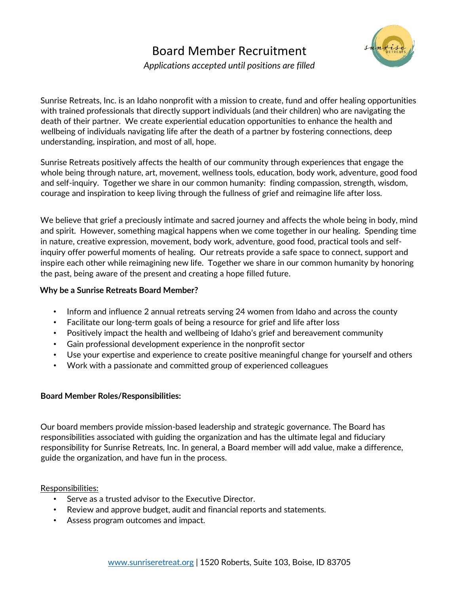# Board Member Recruitment *Applications accepted until positions are filled*



Sunrise Retreats, Inc. is an Idaho nonprofit with a mission to create, fund and offer healing opportunities with trained professionals that directly support individuals (and their children) who are navigating the death of their partner. We create experiential education opportunities to enhance the health and wellbeing of individuals navigating life after the death of a partner by fostering connections, deep understanding, inspiration, and most of all, hope.

Sunrise Retreats positively affects the health of our community through experiences that engage the whole being through nature, art, movement, wellness tools, education, body work, adventure, good food and self-inquiry. Together we share in our common humanity: finding compassion, strength, wisdom, courage and inspiration to keep living through the fullness of grief and reimagine life after loss.

We believe that grief a preciously intimate and sacred journey and affects the whole being in body, mind and spirit. However, something magical happens when we come together in our healing. Spending time in nature, creative expression, movement, body work, adventure, good food, practical tools and selfinquiry offer powerful moments of healing. Our retreats provide a safe space to connect, support and inspire each other while reimagining new life. Together we share in our common humanity by honoring the past, being aware of the present and creating a hope filled future.

#### **Why be a Sunrise Retreats Board Member?**

- Inform and influence 2 annual retreats serving 24 women from Idaho and across the county
- Facilitate our long-term goals of being a resource for grief and life after loss
- Positively impact the health and wellbeing of Idaho's grief and bereavement community
- Gain professional development experience in the nonprofit sector
- Use your expertise and experience to create positive meaningful change for yourself and others
- Work with a passionate and committed group of experienced colleagues

## **Board Member Roles/Responsibilities:**

Our board members provide mission-based leadership and strategic governance. The Board has responsibilities associated with guiding the organization and has the ultimate legal and fiduciary responsibility for Sunrise Retreats, Inc. In general, a Board member will add value, make a difference, guide the organization, and have fun in the process.

## Responsibilities:

- Serve as a trusted advisor to the Executive Director.
- Review and approve budget, audit and financial reports and statements.
- Assess program outcomes and impact.